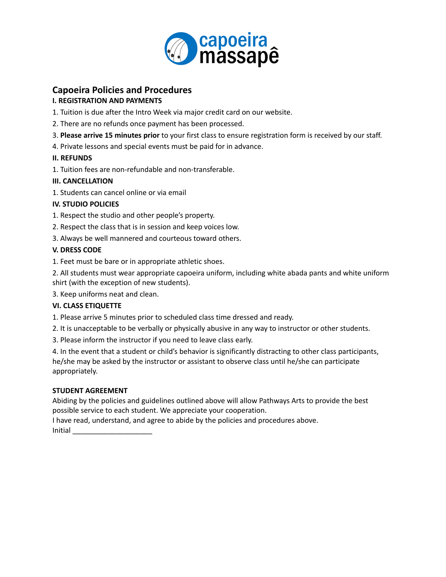

## **Capoeira Policies and Procedures**

### **I. REGISTRATION AND PAYMENTS**

1. Tuition is due after the Intro Week via major credit card on our website.

- 2. There are no refunds once payment has been processed.
- 3. **Please arrive 15 minutes prior** to your first class to ensure registration form is received by our staff.
- 4. Private lessons and special events must be paid for in advance.

## **II. REFUNDS**

1. Tuition fees are non-refundable and non-transferable.

## **III. CANCELLATION**

1. Students can cancel online or via email

## **IV. STUDIO POLICIES**

- 1. Respect the studio and other people's property.
- 2. Respect the class that is in session and keep voices low.
- 3. Always be well mannered and courteous toward others.

## **V. DRESS CODE**

1. Feet must be bare or in appropriate athletic shoes.

2. All students must wear appropriate capoeira uniform, including white abada pants and white uniform shirt (with the exception of new students).

3. Keep uniforms neat and clean.

### **VI. CLASS ETIQUETTE**

1. Please arrive 5 minutes prior to scheduled class time dressed and ready.

2. It is unacceptable to be verbally or physically abusive in any way to instructor or other students.

3. Please inform the instructor if you need to leave class early.

4. In the event that a student or child's behavior is significantly distracting to other class participants, he/she may be asked by the instructor or assistant to observe class until he/she can participate appropriately.

## **STUDENT AGREEMENT**

Abiding by the policies and guidelines outlined above will allow Pathways Arts to provide the best possible service to each student. We appreciate your cooperation.

I have read, understand, and agree to abide by the policies and procedures above. Initial \_\_\_\_\_\_\_\_\_\_\_\_\_\_\_\_\_\_\_\_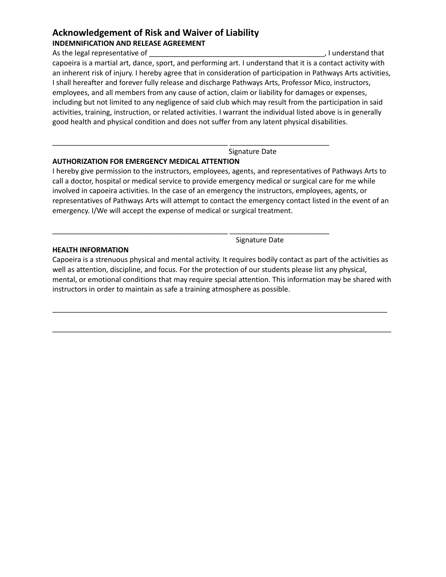# **Acknowledgement of Risk and Waiver of Liability**

**INDEMNIFICATION AND RELEASE AGREEMENT**

As the legal representative of the state of the state of the state of the state of the state of the state of the state of the state of the state of the state of the state of the state of the state of the state of the state capoeira is a martial art, dance, sport, and performing art. I understand that it is a contact activity with an inherent risk of injury. I hereby agree that in consideration of participation in Pathways Arts activities, I shall hereafter and forever fully release and discharge Pathways Arts, Professor Mico, instructors, employees, and all members from any cause of action, claim or liability for damages or expenses, including but not limited to any negligence of said club which may result from the participation in said activities, training, instruction, or related activities. I warrant the individual listed above is in generally good health and physical condition and does not suffer from any latent physical disabilities.

Signature Date

### **AUTHORIZATION FOR EMERGENCY MEDICAL ATTENTION**

I hereby give permission to the instructors, employees, agents, and representatives of Pathways Arts to call a doctor, hospital or medical service to provide emergency medical or surgical care for me while involved in capoeira activities. In the case of an emergency the instructors, employees, agents, or representatives of Pathways Arts will attempt to contact the emergency contact listed in the event of an emergency. I/We will accept the expense of medical or surgical treatment.

\_\_\_\_\_\_\_\_\_\_\_\_\_\_\_\_\_\_\_\_\_\_\_\_\_\_\_\_\_\_\_\_\_\_\_\_\_\_\_\_\_\_\_\_ \_\_\_\_\_\_\_\_\_\_\_\_\_\_\_\_\_\_\_\_\_\_\_\_\_

\_\_\_\_\_\_\_\_\_\_\_\_\_\_\_\_\_\_\_\_\_\_\_\_\_\_\_\_\_\_\_\_\_\_\_\_\_\_\_\_\_\_\_\_ \_\_\_\_\_\_\_\_\_\_\_\_\_\_\_\_\_\_\_\_\_\_\_\_\_

**HEALTH INFORMATION**

Signature Date

Capoeira is a strenuous physical and mental activity. It requires bodily contact as part of the activities as well as attention, discipline, and focus. For the protection of our students please list any physical, mental, or emotional conditions that may require special attention. This information may be shared with instructors in order to maintain as safe a training atmosphere as possible.

\_\_\_\_\_\_\_\_\_\_\_\_\_\_\_\_\_\_\_\_\_\_\_\_\_\_\_\_\_\_\_\_\_\_\_\_\_\_\_\_\_\_\_\_\_\_\_\_\_\_\_\_\_\_\_\_\_\_\_\_\_\_\_\_\_\_\_\_\_\_\_\_\_\_\_\_\_\_\_\_\_\_\_\_

\_\_\_\_\_\_\_\_\_\_\_\_\_\_\_\_\_\_\_\_\_\_\_\_\_\_\_\_\_\_\_\_\_\_\_\_\_\_\_\_\_\_\_\_\_\_\_\_\_\_\_\_\_\_\_\_\_\_\_\_\_\_\_\_\_\_\_\_\_\_\_\_\_\_\_\_\_\_\_\_\_\_\_\_\_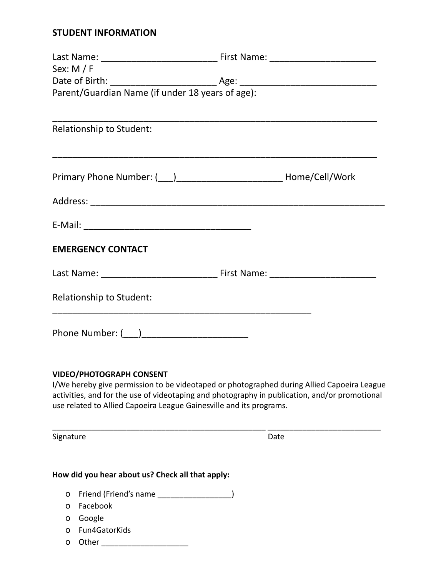## **STUDENT INFORMATION**

| Sex: $M / F$                                     |  |
|--------------------------------------------------|--|
|                                                  |  |
| Parent/Guardian Name (if under 18 years of age): |  |
|                                                  |  |
| Relationship to Student:                         |  |
|                                                  |  |
|                                                  |  |
|                                                  |  |
|                                                  |  |
| <b>EMERGENCY CONTACT</b>                         |  |
|                                                  |  |
| Relationship to Student:                         |  |
|                                                  |  |

### **VIDEO/PHOTOGRAPH CONSENT**

I/We hereby give permission to be videotaped or photographed during Allied Capoeira League activities, and for the use of videotaping and photography in publication, and/or promotional use related to Allied Capoeira League Gainesville and its programs.

\_\_\_\_\_\_\_\_\_\_\_\_\_\_\_\_\_\_\_\_\_\_\_\_\_\_\_\_\_\_\_\_\_\_\_\_\_\_\_\_\_\_\_\_\_\_\_\_\_ \_\_\_\_\_\_\_\_\_\_\_\_\_\_\_\_\_\_\_\_\_\_\_\_\_\_

Signature Date Date

## **How did you hear about us? Check all that apply:**

- o Friend (Friend's name \_\_\_\_\_\_\_\_\_\_\_\_\_\_\_\_\_)
- o Facebook
- o Google
- o Fun4GatorKids
- o Other \_\_\_\_\_\_\_\_\_\_\_\_\_\_\_\_\_\_\_\_